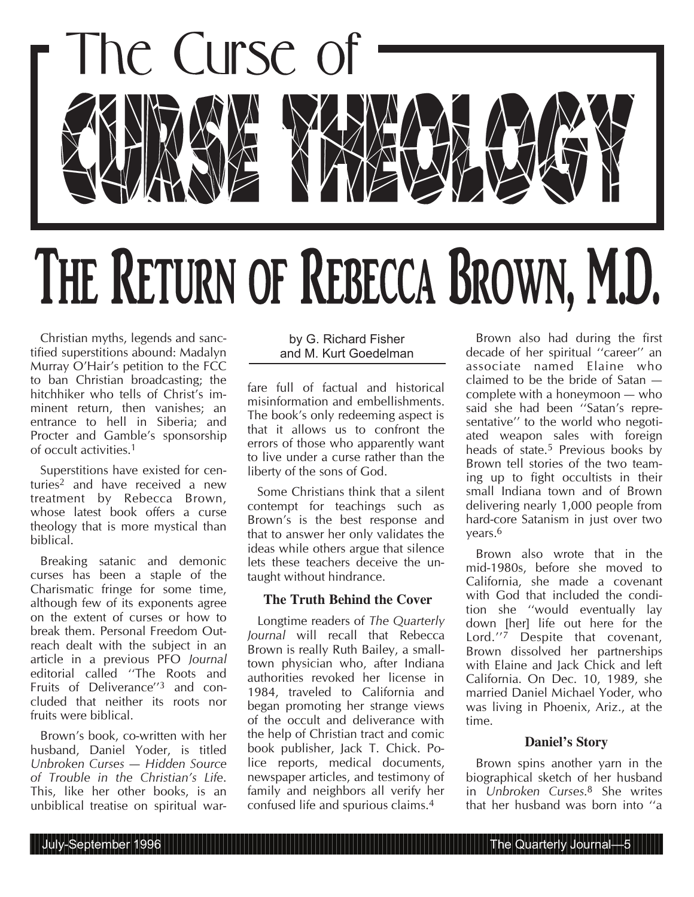

Christian myths, legends and sanctified superstitions abound: Madalyn Murray O'Hair's petition to the FCC to ban Christian broadcasting; the hitchhiker who tells of Christ's imminent return, then vanishes; an entrance to hell in Siberia; and Procter and Gamble's sponsorship of occult activities.1

Superstitions have existed for centuries2 and have received a new treatment by Rebecca Brown, whose latest book offers a curse theology that is more mystical than biblical.

Breaking satanic and demonic curses has been a staple of the Charismatic fringe for some time, although few of its exponents agree on the extent of curses or how to break them. Personal Freedom Outreach dealt with the subject in an article in a previous PFO *Journal* editorial called ''The Roots and Fruits of Deliverance''3 and concluded that neither its roots nor fruits were biblical.

Brown's book, co-written with her husband, Daniel Yoder, is titled *Unbroken Curses — Hidden Source of Trouble in the Christian's Life*. This, like her other books, is an unbiblical treatise on spiritual war-

#### by G. Richard Fisher and M. Kurt Goedelman

fare full of factual and historical misinformation and embellishments. The book's only redeeming aspect is that it allows us to confront the errors of those who apparently want to live under a curse rather than the liberty of the sons of God.

Some Christians think that a silent contempt for teachings such as Brown's is the best response and that to answer her only validates the ideas while others argue that silence lets these teachers deceive the untaught without hindrance.

# **The Truth Behind the Cover**

Longtime readers of *The Quarterly Journal* will recall that Rebecca Brown is really Ruth Bailey, a smalltown physician who, after Indiana authorities revoked her license in 1984, traveled to California and began promoting her strange views of the occult and deliverance with the help of Christian tract and comic book publisher, Jack T. Chick. Police reports, medical documents, newspaper articles, and testimony of family and neighbors all verify her confused life and spurious claims.4

Brown also had during the first decade of her spiritual ''career'' an associate named Elaine who claimed to be the bride of Satan complete with a honeymoon — who said she had been "Satan's representative'' to the world who negotiated weapon sales with foreign heads of state.<sup>5</sup> Previous books by Brown tell stories of the two teaming up to fight occultists in their small Indiana town and of Brown delivering nearly 1,000 people from hard-core Satanism in just over two years.6

Brown also wrote that in the mid-1980s, before she moved to California, she made a covenant with God that included the condition she ''would eventually lay down [her] life out here for the Lord.''7 Despite that covenant, Brown dissolved her partnerships with Elaine and Jack Chick and left California. On Dec. 10, 1989, she married Daniel Michael Yoder, who was living in Phoenix, Ariz., at the time.

#### **Daniel's Story**

Brown spins another yarn in the biographical sketch of her husband in *Unbroken Curses*.8 She writes that her husband was born into ''a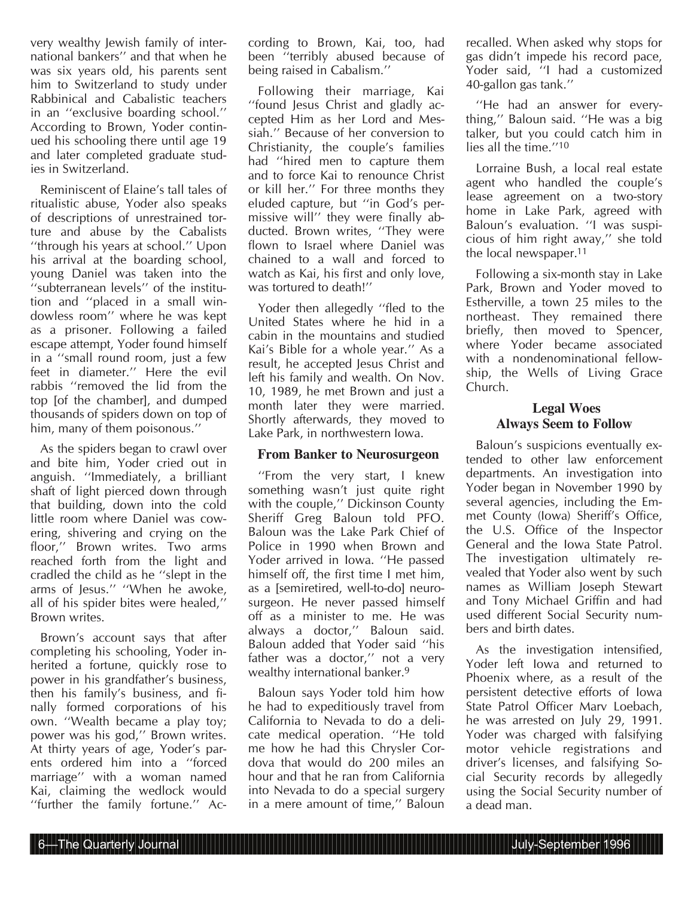very wealthy Jewish family of international bankers'' and that when he was six years old, his parents sent him to Switzerland to study under Rabbinical and Cabalistic teachers in an ''exclusive boarding school.'' According to Brown, Yoder continued his schooling there until age 19 and later completed graduate studies in Switzerland.

Reminiscent of Elaine's tall tales of ritualistic abuse, Yoder also speaks of descriptions of unrestrained torture and abuse by the Cabalists ''through his years at school.'' Upon his arrival at the boarding school. young Daniel was taken into the ''subterranean levels'' of the institution and ''placed in a small windowless room'' where he was kept as a prisoner. Following a failed escape attempt, Yoder found himself in a ''small round room, just a few feet in diameter.'' Here the evil rabbis ''removed the lid from the top [of the chamber], and dumped thousands of spiders down on top of him, many of them poisonous.''

As the spiders began to crawl over and bite him, Yoder cried out in anguish. ''Immediately, a brilliant shaft of light pierced down through that building, down into the cold little room where Daniel was cowering, shivering and crying on the floor,'' Brown writes. Two arms reached forth from the light and cradled the child as he ''slept in the arms of Jesus.'' ''When he awoke, all of his spider bites were healed,'' Brown writes.

Brown's account says that after completing his schooling, Yoder inherited a fortune, quickly rose to power in his grandfather's business, then his family's business, and finally formed corporations of his own. ''Wealth became a play toy; power was his god,'' Brown writes. At thirty years of age, Yoder's parents ordered him into a ''forced marriage'' with a woman named Kai, claiming the wedlock would ''further the family fortune.'' According to Brown, Kai, too, had been ''terribly abused because of being raised in Cabalism.''

Following their marriage, Kai ''found Jesus Christ and gladly accepted Him as her Lord and Messiah.'' Because of her conversion to Christianity, the couple's families had ''hired men to capture them and to force Kai to renounce Christ or kill her.'' For three months they eluded capture, but ''in God's permissive will'' they were finally abducted. Brown writes, ''They were flown to Israel where Daniel was chained to a wall and forced to watch as Kai, his first and only love, was tortured to death!''

Yoder then allegedly ''fled to the United States where he hid in a cabin in the mountains and studied Kai's Bible for a whole year.'' As a result, he accepted Jesus Christ and left his family and wealth. On Nov. 10, 1989, he met Brown and just a month later they were married. Shortly afterwards, they moved to Lake Park, in northwestern Iowa.

# **From Banker to Neurosurgeon**

''From the very start, I knew something wasn't just quite right with the couple,'' Dickinson County Sheriff Greg Baloun told PFO. Baloun was the Lake Park Chief of Police in 1990 when Brown and Yoder arrived in Iowa. ''He passed himself off, the first time I met him, as a [semiretired, well-to-do] neurosurgeon. He never passed himself off as a minister to me. He was always a doctor,'' Baloun said. Baloun added that Yoder said ''his father was a doctor,'' not a very wealthy international banker.<sup>9</sup>

Baloun says Yoder told him how he had to expeditiously travel from California to Nevada to do a delicate medical operation. ''He told me how he had this Chrysler Cordova that would do 200 miles an hour and that he ran from California into Nevada to do a special surgery in a mere amount of time,'' Baloun recalled. When asked why stops for gas didn't impede his record pace, Yoder said, ''I had a customized 40-gallon gas tank.''

''He had an answer for everything,'' Baloun said. ''He was a big talker, but you could catch him in lies all the time.''10

Lorraine Bush, a local real estate agent who handled the couple's lease agreement on a two-story home in Lake Park, agreed with Baloun's evaluation. ''I was suspicious of him right away,'' she told the local newspaper.11

Following a six-month stay in Lake Park, Brown and Yoder moved to Estherville, a town 25 miles to the northeast. They remained there briefly, then moved to Spencer, where Yoder became associated with a nondenominational fellowship, the Wells of Living Grace Church.

# **Legal Woes Always Seem to Follow**

Baloun's suspicions eventually extended to other law enforcement departments. An investigation into Yoder began in November 1990 by several agencies, including the Emmet County (Iowa) Sheriff's Office, the U.S. Office of the Inspector General and the Iowa State Patrol. The investigation ultimately revealed that Yoder also went by such names as William Joseph Stewart and Tony Michael Griffin and had used different Social Security numbers and birth dates.

As the investigation intensified, Yoder left Iowa and returned to Phoenix where, as a result of the persistent detective efforts of Iowa State Patrol Officer Marv Loebach, he was arrested on July 29, 1991. Yoder was charged with falsifying motor vehicle registrations and driver's licenses, and falsifying Social Security records by allegedly using the Social Security number of a dead man.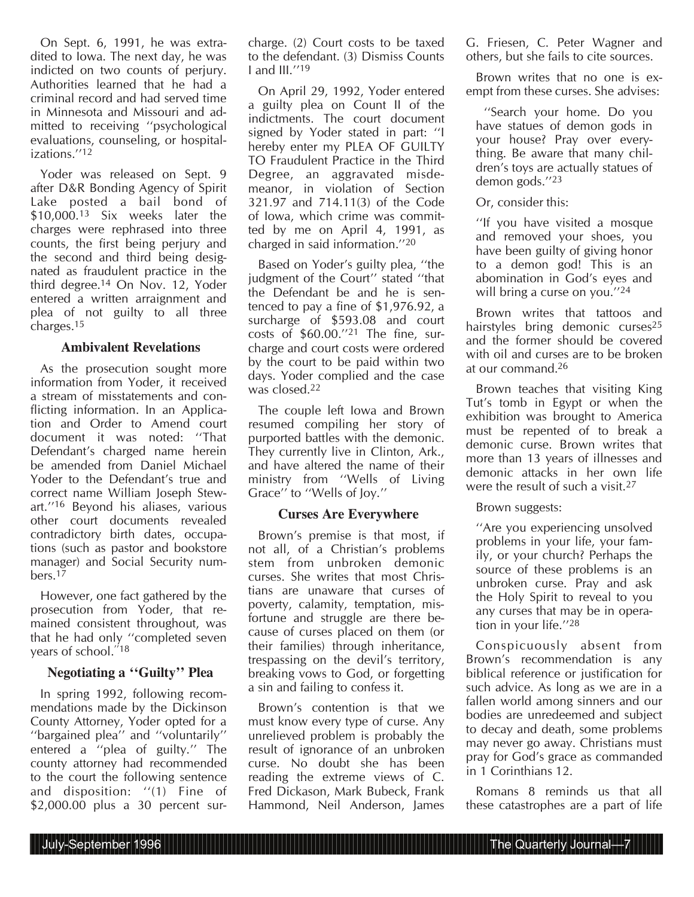On Sept. 6, 1991, he was extradited to Iowa. The next day, he was indicted on two counts of perjury. Authorities learned that he had a criminal record and had served time in Minnesota and Missouri and admitted to receiving ''psychological evaluations, counseling, or hospitalizations<sup>7/12</sup>

Yoder was released on Sept. 9 after D&R Bonding Agency of Spirit Lake posted a bail bond of \$10,000.13 Six weeks later the charges were rephrased into three counts, the first being perjury and the second and third being designated as fraudulent practice in the third degree.14 On Nov. 12, Yoder entered a written arraignment and plea of not guilty to all three charges.15

#### **Ambivalent Revelations**

As the prosecution sought more information from Yoder, it received a stream of misstatements and conflicting information. In an Application and Order to Amend court document it was noted: ''That Defendant's charged name herein be amended from Daniel Michael Yoder to the Defendant's true and correct name William Joseph Stewart.''16 Beyond his aliases, various other court documents revealed contradictory birth dates, occupations (such as pastor and bookstore manager) and Social Security numbers.17

However, one fact gathered by the prosecution from Yoder, that remained consistent throughout, was that he had only ''completed seven years of school."<sup>18</sup>

#### **Negotiating a ''Guilty'' Plea**

In spring 1992, following recommendations made by the Dickinson County Attorney, Yoder opted for a ''bargained plea'' and ''voluntarily'' entered a ''plea of guilty.'' The county attorney had recommended to the court the following sentence and disposition: ''(1) Fine of \$2,000.00 plus a 30 percent surcharge. (2) Court costs to be taxed to the defendant. (3) Dismiss Counts I and III.''19

On April 29, 1992, Yoder entered a guilty plea on Count II of the indictments. The court document signed by Yoder stated in part: ''I hereby enter my PLEA OF GUILTY TO Fraudulent Practice in the Third Degree, an aggravated misdemeanor, in violation of Section 321.97 and 714.11(3) of the Code of Iowa, which crime was committed by me on April 4, 1991, as charged in said information.''20

Based on Yoder's guilty plea, ''the judgment of the Court'' stated ''that the Defendant be and he is sentenced to pay a fine of \$1,976.92, a surcharge of \$593.08 and court costs of \$60.00.''21 The fine, surcharge and court costs were ordered by the court to be paid within two days. Yoder complied and the case was closed.<sup>22</sup>

The couple left Iowa and Brown resumed compiling her story of purported battles with the demonic. They currently live in Clinton, Ark., and have altered the name of their ministry from ''Wells of Living Grace'' to ''Wells of Joy.''

#### **Curses Are Everywhere**

Brown's premise is that most, if not all, of a Christian's problems stem from unbroken demonic curses. She writes that most Christians are unaware that curses of poverty, calamity, temptation, misfortune and struggle are there because of curses placed on them (or their families) through inheritance, trespassing on the devil's territory, breaking vows to God, or forgetting a sin and failing to confess it.

Brown's contention is that we must know every type of curse. Any unrelieved problem is probably the result of ignorance of an unbroken curse. No doubt she has been reading the extreme views of C. Fred Dickason, Mark Bubeck, Frank Hammond, Neil Anderson, James

G. Friesen, C. Peter Wagner and others, but she fails to cite sources.

Brown writes that no one is exempt from these curses. She advises:

''Search your home. Do you have statues of demon gods in your house? Pray over everything. Be aware that many children's toys are actually statues of demon gods.''23

Or, consider this:

''If you have visited a mosque and removed your shoes, you have been guilty of giving honor to a demon god! This is an abomination in God's eyes and will bring a curse on you.''24

Brown writes that tattoos and hairstyles bring demonic curses<sup>25</sup> and the former should be covered with oil and curses are to be broken at our command.26

Brown teaches that visiting King Tut's tomb in Egypt or when the exhibition was brought to America must be repented of to break a demonic curse. Brown writes that more than 13 years of illnesses and demonic attacks in her own life were the result of such a visit.27

Brown suggests:

''Are you experiencing unsolved problems in your life, your family, or your church? Perhaps the source of these problems is an unbroken curse. Pray and ask the Holy Spirit to reveal to you any curses that may be in operation in your life.''28

Conspicuously absent from Brown's recommendation is any biblical reference or justification for such advice. As long as we are in a fallen world among sinners and our bodies are unredeemed and subject to decay and death, some problems may never go away. Christians must pray for God's grace as commanded in 1 Corinthians 12.

Romans 8 reminds us that all these catastrophes are a part of life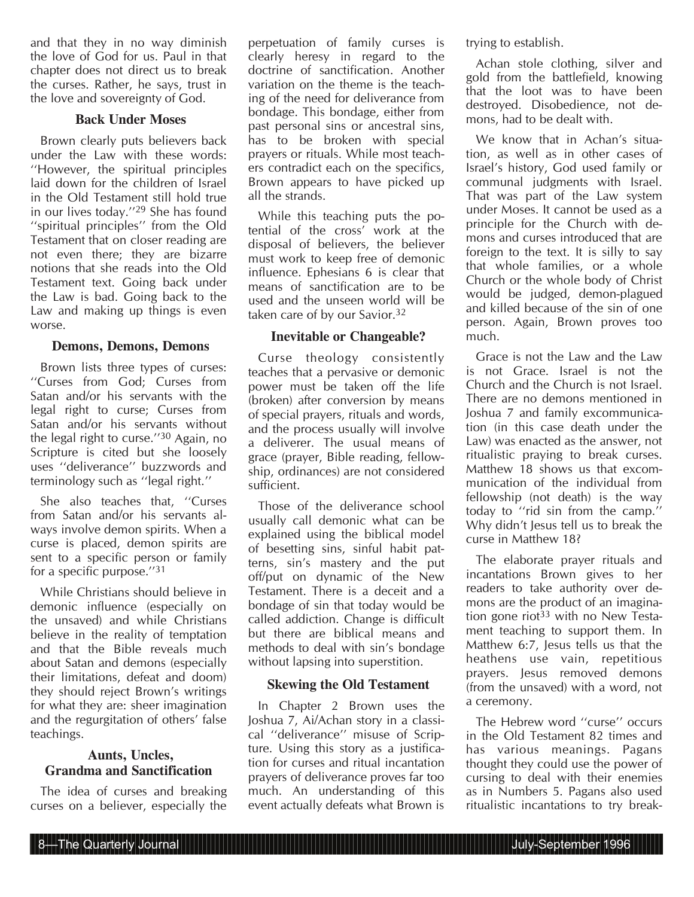and that they in no way diminish the love of God for us. Paul in that chapter does not direct us to break the curses. Rather, he says, trust in the love and sovereignty of God.

# **Back Under Moses**

Brown clearly puts believers back under the Law with these words: ''However, the spiritual principles laid down for the children of Israel in the Old Testament still hold true in our lives today.''29 She has found ''spiritual principles'' from the Old Testament that on closer reading are not even there; they are bizarre notions that she reads into the Old Testament text. Going back under the Law is bad. Going back to the Law and making up things is even worse.

### **Demons, Demons, Demons**

Brown lists three types of curses: ''Curses from God; Curses from Satan and/or his servants with the legal right to curse; Curses from Satan and/or his servants without the legal right to curse.''30 Again, no Scripture is cited but she loosely uses ''deliverance'' buzzwords and terminology such as ''legal right.''

She also teaches that, ''Curses from Satan and/or his servants always involve demon spirits. When a curse is placed, demon spirits are sent to a specific person or family for a specific purpose.''31

While Christians should believe in demonic influence (especially on the unsaved) and while Christians believe in the reality of temptation and that the Bible reveals much about Satan and demons (especially their limitations, defeat and doom) they should reject Brown's writings for what they are: sheer imagination and the regurgitation of others' false teachings.

### **Aunts, Uncles, Grandma and Sanctification**

The idea of curses and breaking curses on a believer, especially the perpetuation of family curses is clearly heresy in regard to the doctrine of sanctification. Another variation on the theme is the teaching of the need for deliverance from bondage. This bondage, either from past personal sins or ancestral sins, has to be broken with special prayers or rituals. While most teachers contradict each on the specifics, Brown appears to have picked up all the strands.

While this teaching puts the potential of the cross' work at the disposal of believers, the believer must work to keep free of demonic influence. Ephesians 6 is clear that means of sanctification are to be used and the unseen world will be taken care of by our Savior.<sup>32</sup>

# **Inevitable or Changeable?**

Curse theology consistently teaches that a pervasive or demonic power must be taken off the life (broken) after conversion by means of special prayers, rituals and words, and the process usually will involve a deliverer. The usual means of grace (prayer, Bible reading, fellowship, ordinances) are not considered sufficient.

Those of the deliverance school usually call demonic what can be explained using the biblical model of besetting sins, sinful habit patterns, sin's mastery and the put off/put on dynamic of the New Testament. There is a deceit and a bondage of sin that today would be called addiction. Change is difficult but there are biblical means and methods to deal with sin's bondage without lapsing into superstition.

# **Skewing the Old Testament**

In Chapter 2 Brown uses the Joshua 7, Ai/Achan story in a classical ''deliverance'' misuse of Scripture. Using this story as a justification for curses and ritual incantation prayers of deliverance proves far too much. An understanding of this event actually defeats what Brown is trying to establish.

Achan stole clothing, silver and gold from the battlefield, knowing that the loot was to have been destroyed. Disobedience, not demons, had to be dealt with.

We know that in Achan's situation, as well as in other cases of Israel's history, God used family or communal judgments with Israel. That was part of the Law system under Moses. It cannot be used as a principle for the Church with demons and curses introduced that are foreign to the text. It is silly to say that whole families, or a whole Church or the whole body of Christ would be judged, demon-plagued and killed because of the sin of one person. Again, Brown proves too much.

Grace is not the Law and the Law is not Grace. Israel is not the Church and the Church is not Israel. There are no demons mentioned in Joshua 7 and family excommunication (in this case death under the Law) was enacted as the answer, not ritualistic praying to break curses. Matthew 18 shows us that excommunication of the individual from fellowship (not death) is the way today to ''rid sin from the camp.'' Why didn't Jesus tell us to break the curse in Matthew 18?

The elaborate prayer rituals and incantations Brown gives to her readers to take authority over demons are the product of an imagination gone riot<sup>33</sup> with no New Testament teaching to support them. In Matthew 6:7, Jesus tells us that the heathens use vain, repetitious prayers. Jesus removed demons (from the unsaved) with a word, not a ceremony.

The Hebrew word ''curse'' occurs in the Old Testament 82 times and has various meanings. Pagans thought they could use the power of cursing to deal with their enemies as in Numbers 5. Pagans also used ritualistic incantations to try break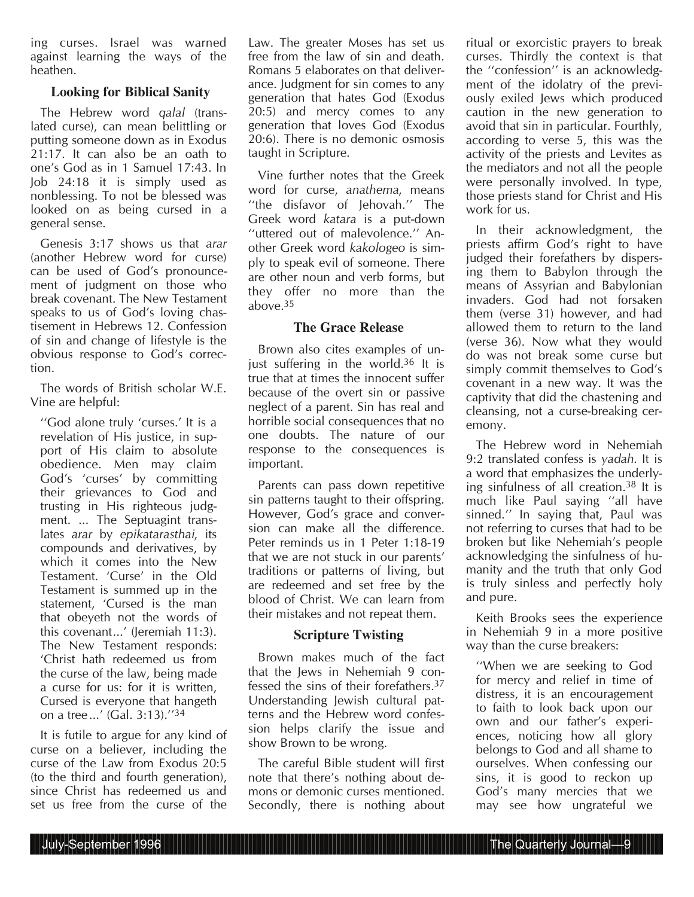ing curses. Israel was warned against learning the ways of the heathen.

# **Looking for Biblical Sanity**

The Hebrew word *qalal* (translated curse), can mean belittling or putting someone down as in Exodus 21:17. It can also be an oath to one's God as in 1 Samuel 17:43. In Job 24:18 it is simply used as nonblessing. To not be blessed was looked on as being cursed in a general sense.

Genesis 3:17 shows us that *arar* (another Hebrew word for curse) can be used of God's pronouncement of judgment on those who break covenant. The New Testament speaks to us of God's loving chastisement in Hebrews 12. Confession of sin and change of lifestyle is the obvious response to God's correction.

The words of British scholar W.E. Vine are helpful:

''God alone truly 'curses.' It is a revelation of His justice, in support of His claim to absolute obedience. Men may claim God's 'curses' by committing their grievances to God and trusting in His righteous judgment. ... The Septuagint translates *arar* by *epikatarasthai*, its compounds and derivatives, by which it comes into the New Testament. 'Curse' in the Old Testament is summed up in the statement, 'Cursed is the man that obeyeth not the words of this covenant...' (Jeremiah 11:3). The New Testament responds: 'Christ hath redeemed us from the curse of the law, being made a curse for us: for it is written, Cursed is everyone that hangeth on a tree...' (Gal. 3:13).''34

It is futile to argue for any kind of curse on a believer, including the curse of the Law from Exodus 20:5 (to the third and fourth generation), since Christ has redeemed us and set us free from the curse of the Law. The greater Moses has set us free from the law of sin and death. Romans 5 elaborates on that deliverance. Judgment for sin comes to any generation that hates God (Exodus 20:5) and mercy comes to any generation that loves God (Exodus 20:6). There is no demonic osmosis taught in Scripture.

Vine further notes that the Greek word for curse, *anathema*, means ''the disfavor of Jehovah.'' The Greek word *katara* is a put-down ''uttered out of malevolence.'' Another Greek word *kakologeo* is simply to speak evil of someone. There are other noun and verb forms, but they offer no more than the above.35

### **The Grace Release**

Brown also cites examples of unjust suffering in the world.<sup>36</sup> It is true that at times the innocent suffer because of the overt sin or passive neglect of a parent. Sin has real and horrible social consequences that no one doubts. The nature of our response to the consequences is important.

Parents can pass down repetitive sin patterns taught to their offspring. However, God's grace and conversion can make all the difference. Peter reminds us in 1 Peter 1:18-19 that we are not stuck in our parents' traditions or patterns of living, but are redeemed and set free by the blood of Christ. We can learn from their mistakes and not repeat them.

# **Scripture Twisting**

Brown makes much of the fact that the Jews in Nehemiah 9 confessed the sins of their forefathers.37 Understanding Jewish cultural patterns and the Hebrew word confession helps clarify the issue and show Brown to be wrong.

The careful Bible student will first note that there's nothing about demons or demonic curses mentioned. Secondly, there is nothing about ritual or exorcistic prayers to break curses. Thirdly the context is that the ''confession'' is an acknowledgment of the idolatry of the previously exiled Jews which produced caution in the new generation to avoid that sin in particular. Fourthly, according to verse 5, this was the activity of the priests and Levites as the mediators and not all the people were personally involved. In type, those priests stand for Christ and His work for us.

In their acknowledgment, the priests affirm God's right to have judged their forefathers by dispersing them to Babylon through the means of Assyrian and Babylonian invaders. God had not forsaken them (verse 31) however, and had allowed them to return to the land (verse 36). Now what they would do was not break some curse but simply commit themselves to God's covenant in a new way. It was the captivity that did the chastening and cleansing, not a curse-breaking ceremony.

The Hebrew word in Nehemiah 9:2 translated confess is *yadah*. It is a word that emphasizes the underlying sinfulness of all creation.38 It is much like Paul saying ''all have sinned.'' In saying that, Paul was not referring to curses that had to be broken but like Nehemiah's people acknowledging the sinfulness of humanity and the truth that only God is truly sinless and perfectly holy and pure.

Keith Brooks sees the experience in Nehemiah 9 in a more positive way than the curse breakers:

''When we are seeking to God for mercy and relief in time of distress, it is an encouragement to faith to look back upon our own and our father's experiences, noticing how all glory belongs to God and all shame to ourselves. When confessing our sins, it is good to reckon up God's many mercies that we may see how ungrateful we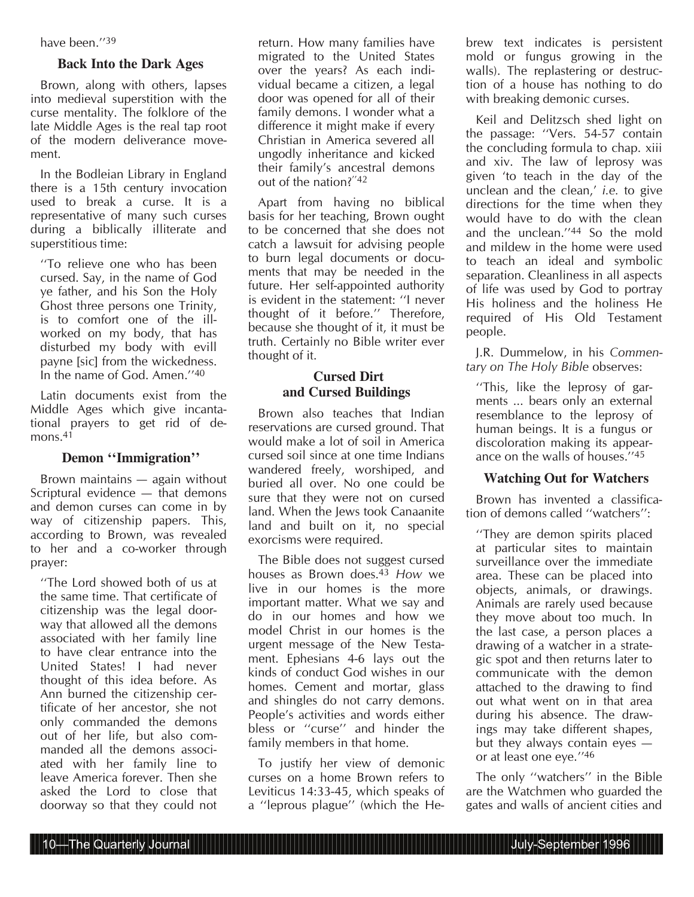have been.''39

## **Back Into the Dark Ages**

Brown, along with others, lapses into medieval superstition with the curse mentality. The folklore of the late Middle Ages is the real tap root of the modern deliverance movement.

In the Bodleian Library in England there is a 15th century invocation used to break a curse. It is a representative of many such curses during a biblically illiterate and superstitious time:

''To relieve one who has been cursed. Say, in the name of God ye father, and his Son the Holy Ghost three persons one Trinity, is to comfort one of the illworked on my body, that has disturbed my body with evill payne [sic] from the wickedness. In the name of God. Amen.''40

Latin documents exist from the Middle Ages which give incantational prayers to get rid of demons.<sup>41</sup>

#### **Demon ''Immigration''**

Brown maintains — again without Scriptural evidence — that demons and demon curses can come in by way of citizenship papers. This, according to Brown, was revealed to her and a co-worker through prayer:

''The Lord showed both of us at the same time. That certificate of citizenship was the legal doorway that allowed all the demons associated with her family line to have clear entrance into the United States! I had never thought of this idea before. As Ann burned the citizenship certificate of her ancestor, she not only commanded the demons out of her life, but also commanded all the demons associated with her family line to leave America forever. Then she asked the Lord to close that doorway so that they could not

return. How many families have migrated to the United States over the years? As each individual became a citizen, a legal door was opened for all of their family demons. I wonder what a difference it might make if every Christian in America severed all ungodly inheritance and kicked their family's ancestral demons out of the nation?''42

Apart from having no biblical basis for her teaching, Brown ought to be concerned that she does not catch a lawsuit for advising people to burn legal documents or documents that may be needed in the future. Her self-appointed authority is evident in the statement: ''I never thought of it before.'' Therefore, because she thought of it, it must be truth. Certainly no Bible writer ever thought of it.

# **Cursed Dirt and Cursed Buildings**

Brown also teaches that Indian reservations are cursed ground. That would make a lot of soil in America cursed soil since at one time Indians wandered freely, worshiped, and buried all over. No one could be sure that they were not on cursed land. When the Jews took Canaanite land and built on it, no special exorcisms were required.

The Bible does not suggest cursed houses as Brown does.43 *How* we live in our homes is the more important matter. What we say and do in our homes and how we model Christ in our homes is the urgent message of the New Testament. Ephesians 4-6 lays out the kinds of conduct God wishes in our homes. Cement and mortar, glass and shingles do not carry demons. People's activities and words either bless or ''curse'' and hinder the family members in that home.

To justify her view of demonic curses on a home Brown refers to Leviticus 14:33-45, which speaks of a ''leprous plague'' (which the He-

brew text indicates is persistent mold or fungus growing in the walls). The replastering or destruction of a house has nothing to do with breaking demonic curses.

Keil and Delitzsch shed light on the passage: ''Vers. 54-57 contain the concluding formula to chap. xiii and xiv. The law of leprosy was given 'to teach in the day of the unclean and the clean,' *i.e.* to give directions for the time when they would have to do with the clean and the unclean.''44 So the mold and mildew in the home were used to teach an ideal and symbolic separation. Cleanliness in all aspects of life was used by God to portray His holiness and the holiness He required of His Old Testament people.

J.R. Dummelow, in his *Commentary on The Holy Bible* observes:

''This, like the leprosy of garments ... bears only an external resemblance to the leprosy of human beings. It is a fungus or discoloration making its appearance on the walls of houses.''45

# **Watching Out for Watchers**

Brown has invented a classification of demons called ''watchers'':

''They are demon spirits placed at particular sites to maintain surveillance over the immediate area. These can be placed into objects, animals, or drawings. Animals are rarely used because they move about too much. In the last case, a person places a drawing of a watcher in a strategic spot and then returns later to communicate with the demon attached to the drawing to find out what went on in that area during his absence. The drawings may take different shapes, but they always contain eyes or at least one eye.''46

The only ''watchers'' in the Bible are the Watchmen who guarded the gates and walls of ancient cities and